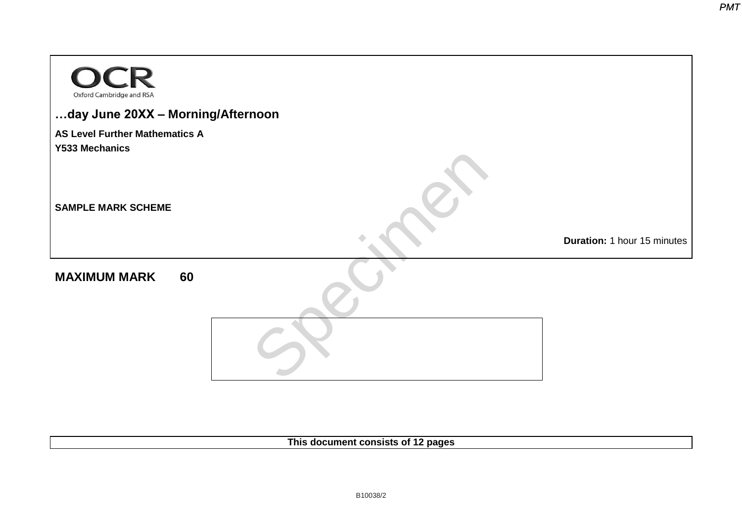| <b>R</b><br>Oxford Cambridge and RSA                           |  |                             |
|----------------------------------------------------------------|--|-----------------------------|
| day June 20XX - Morning/Afternoon                              |  |                             |
| <b>AS Level Further Mathematics A</b><br><b>Y533 Mechanics</b> |  |                             |
| <b>SAMPLE MARK SCHEME</b>                                      |  | Duration: 1 hour 15 minutes |
| <b>MAXIMUM MARK</b><br>60                                      |  |                             |
|                                                                |  |                             |

**This document consists of 12 pages**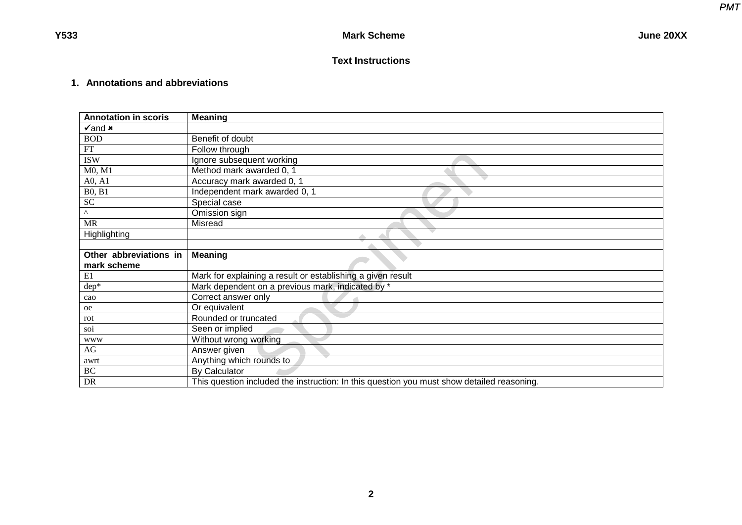### **Text Instructions**

### **1. Annotations and abbreviations**

| <b>Annotation in scoris</b>     | <b>Meaning</b>                                                                             |
|---------------------------------|--------------------------------------------------------------------------------------------|
| $\sqrt{2}$ and $\bm{x}$         |                                                                                            |
| <b>BOD</b>                      | Benefit of doubt                                                                           |
| FT                              | Follow through                                                                             |
| <b>ISW</b>                      | Ignore subsequent working                                                                  |
| M <sub>0</sub> , M <sub>1</sub> | Method mark awarded 0, 1                                                                   |
| A0, A1                          | Accuracy mark awarded 0, 1                                                                 |
| <b>B0, B1</b>                   | Independent mark awarded 0, 1                                                              |
| ${\rm SC}$                      | Special case                                                                               |
| $\wedge$                        | Omission sign                                                                              |
| <b>MR</b>                       | Misread                                                                                    |
| Highlighting                    |                                                                                            |
|                                 |                                                                                            |
| Other abbreviations in          | <b>Meaning</b>                                                                             |
| mark scheme                     |                                                                                            |
| E1                              | Mark for explaining a result or establishing a given result                                |
| $dep*$                          | Mark dependent on a previous mark, indicated by *                                          |
| cao                             | Correct answer only                                                                        |
| oe                              | Or equivalent                                                                              |
| rot                             | Rounded or truncated                                                                       |
| soi                             | Seen or implied                                                                            |
| <b>WWW</b>                      | Without wrong working                                                                      |
| AG                              | Answer given                                                                               |
| awrt                            | Anything which rounds to                                                                   |
| BC                              | By Calculator                                                                              |
| DR                              | This question included the instruction: In this question you must show detailed reasoning. |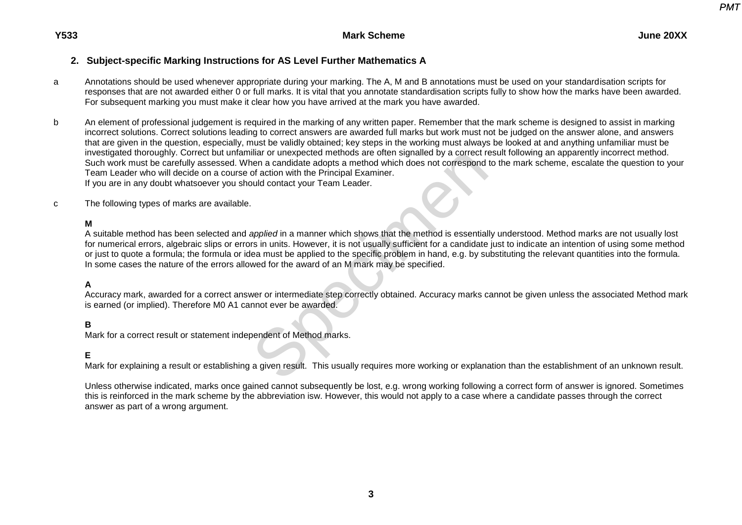### **2. Subject-specific Marking Instructions for AS Level Further Mathematics A**

- a Annotations should be used whenever appropriate during your marking. The A, M and B annotations must be used on your standardisation scripts for responses that are not awarded either 0 or full marks. It is vital that you annotate standardisation scripts fully to show how the marks have been awarded. For subsequent marking you must make it clear how you have arrived at the mark you have awarded.
- b An element of professional judgement is required in the marking of any written paper. Remember that the mark scheme is designed to assist in marking incorrect solutions. Correct solutions leading to correct answers are awarded full marks but work must not be judged on the answer alone, and answers that are given in the question, especially, must be validly obtained; key steps in the working must always be looked at and anything unfamiliar must be investigated thoroughly. Correct but unfamiliar or unexpected methods are often signalled by a correct result following an apparently incorrect method. Such work must be carefully assessed. When a candidate adopts a method which does not correspond to the mark scheme, escalate the question to your Team Leader who will decide on a course of action with the Principal Examiner. If you are in any doubt whatsoever you should contact your Team Leader.
- c The following types of marks are available.

### **M**

A suitable method has been selected and *applied* in a manner which shows that the method is essentially understood. Method marks are not usually lost for numerical errors, algebraic slips or errors in units. However, it is not usually sufficient for a candidate just to indicate an intention of using some method or just to quote a formula; the formula or idea must be applied to the specific problem in hand, e.g. by substituting the relevant quantities into the formula. In some cases the nature of the errors allowed for the award of an M mark may be specified. ninar or unexpected methods are otten signalied by a correct reference a candidate adopts a method which does not correspond of action with the Principal Examiner.<br>
Specifical divided to the specific problem in the method

### **A**

Accuracy mark, awarded for a correct answer or intermediate step correctly obtained. Accuracy marks cannot be given unless the associated Method mark is earned (or implied). Therefore M0 A1 cannot ever be awarded.

### **B**

Mark for a correct result or statement independent of Method marks.

### **E**

Mark for explaining a result or establishing a given result. This usually requires more working or explanation than the establishment of an unknown result.

Unless otherwise indicated, marks once gained cannot subsequently be lost, e.g. wrong working following a correct form of answer is ignored. Sometimes this is reinforced in the mark scheme by the abbreviation isw. However, this would not apply to a case where a candidate passes through the correct answer as part of a wrong argument.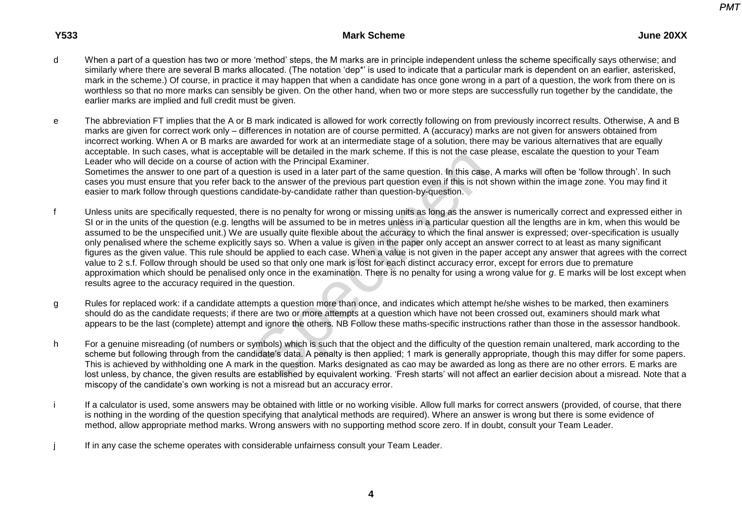- d When a part of a question has two or more 'method' steps, the M marks are in principle independent unless the scheme specifically says otherwise; and similarly where there are several B marks allocated. (The notation 'dep\*' is used to indicate that a particular mark is dependent on an earlier, asterisked, mark in the scheme.) Of course, in practice it may happen that when a candidate has once gone wrong in a part of a question, the work from there on is worthless so that no more marks can sensibly be given. On the other hand, when two or more steps are successfully run together by the candidate, the earlier marks are implied and full credit must be given.
- e The abbreviation FT implies that the A or B mark indicated is allowed for work correctly following on from previously incorrect results. Otherwise, A and B marks are given for correct work only – differences in notation are of course permitted. A (accuracy) marks are not given for answers obtained from incorrect working. When A or B marks are awarded for work at an intermediate stage of a solution, there may be various alternatives that are equally acceptable. In such cases, what is acceptable will be detailed in the mark scheme. If this is not the case please, escalate the question to your Team Leader who will decide on a course of action with the Principal Examiner.

Sometimes the answer to one part of a question is used in a later part of the same question. In this case, A marks will often be 'follow through'. In such cases you must ensure that you refer back to the answer of the previous part question even if this is not shown within the image zone. You may find it easier to mark follow through questions candidate-by-candidate rather than question-by-question.

- f Unless units are specifically requested, there is no penalty for wrong or missing units as long as the answer is numerically correct and expressed either in SI or in the units of the question (e.g. lengths will be assumed to be in metres unless in a particular question all the lengths are in km, when this would be assumed to be the unspecified unit.) We are usually quite flexible about the accuracy to which the final answer is expressed; over-specification is usually only penalised where the scheme explicitly says so. When a value is given in the paper only accept an answer correct to at least as many significant figures as the given value. This rule should be applied to each case. When a value is not given in the paper accept any answer that agrees with the correct value to 2 s.f. Follow through should be used so that only one mark is lost for each distinct accuracy error, except for errors due to premature approximation which should be penalised only once in the examination. There is no penalty for using a wrong value for *g*. E marks will be lost except when results agree to the accuracy required in the question. able will be elatered in the math scheme. It this is not the case<br>on with the Principal Examiner.<br>Sestion is used in a later part of the same question. In this case<br>to the answer of the previous part question even if this
- g Rules for replaced work: if a candidate attempts a question more than once, and indicates which attempt he/she wishes to be marked, then examiners should do as the candidate requests; if there are two or more attempts at a question which have not been crossed out, examiners should mark what appears to be the last (complete) attempt and ignore the others. NB Follow these maths-specific instructions rather than those in the assessor handbook.
- h For a genuine misreading (of numbers or symbols) which is such that the object and the difficulty of the question remain unaltered, mark according to the scheme but following through from the candidate's data. A penalty is then applied; 1 mark is generally appropriate, though this may differ for some papers. This is achieved by withholding one A mark in the question. Marks designated as cao may be awarded as long as there are no other errors. E marks are lost unless, by chance, the given results are established by equivalent working. 'Fresh starts' will not affect an earlier decision about a misread. Note that a miscopy of the candidate's own working is not a misread but an accuracy error.
- i If a calculator is used, some answers may be obtained with little or no working visible. Allow full marks for correct answers (provided, of course, that there is nothing in the wording of the question specifying that analytical methods are required). Where an answer is wrong but there is some evidence of method, allow appropriate method marks. Wrong answers with no supporting method score zero. If in doubt, consult your Team Leader.
- j If in any case the scheme operates with considerable unfairness consult your Team Leader.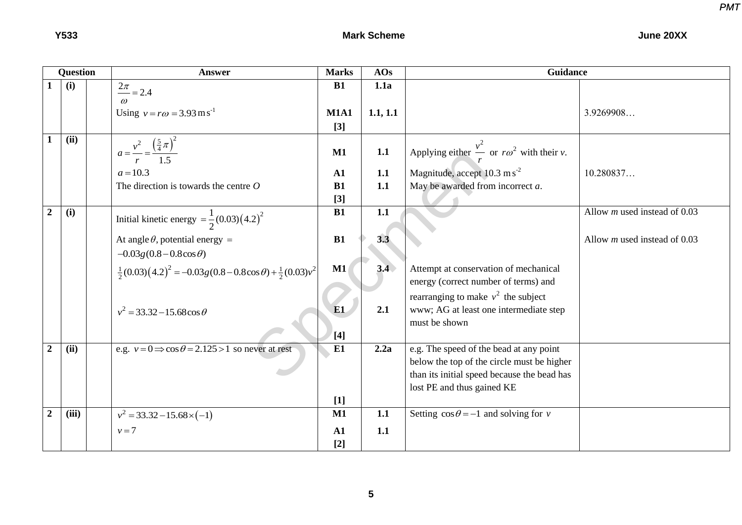|                | Question | <b>Answer</b>                                                                 | <b>Marks</b>   | AOs      | <b>Guidance</b>                                              |                                |
|----------------|----------|-------------------------------------------------------------------------------|----------------|----------|--------------------------------------------------------------|--------------------------------|
| $\mathbf{1}$   | (i)      | $\frac{2\pi}{1}$ = 2.4                                                        | <b>B1</b>      | 1.1a     |                                                              |                                |
|                |          |                                                                               |                |          |                                                              |                                |
|                |          | Using $v = r\omega = 3.93 \text{ m s}^{-1}$                                   | <b>M1A1</b>    | 1.1, 1.1 |                                                              | 3.9269908                      |
|                |          |                                                                               | $[3]$          |          |                                                              |                                |
| $\mathbf{1}$   | (ii)     | $a = \frac{v^2}{1.5} = \frac{\left(\frac{5}{4}\pi\right)^2}{1.5}$             | M1             | 1.1      | Applying either $\frac{v^2}{m}$ or $r\omega^2$ with their v. |                                |
|                |          | $a = 10.3$                                                                    | ${\bf A1}$     | 1.1      | Magnitude, accept $10.3 \text{ ms}^{-2}$                     | 10.280837                      |
|                |          | The direction is towards the centre $O$                                       | B1             | 1.1      | May be awarded from incorrect a.                             |                                |
|                |          |                                                                               | $[3]$          |          |                                                              |                                |
| $\overline{2}$ | (i)      | Initial kinetic energy = $\frac{1}{2}(0.03)(4.2)^2$                           | B1             | 1.1      |                                                              | Allow $m$ used instead of 0.03 |
|                |          | At angle $\theta$ , potential energy =                                        | <b>B1</b>      | 3.3      |                                                              | Allow $m$ used instead of 0.03 |
|                |          | $-0.03g(0.8-0.8\cos\theta)$                                                   |                |          |                                                              |                                |
|                |          | $\frac{1}{2}(0.03)(4.2)^2 = -0.03g(0.8-0.8\cos\theta) + \frac{1}{2}(0.03)v^2$ | $\mathbf{M1}$  | 3.4      | Attempt at conservation of mechanical                        |                                |
|                |          |                                                                               |                |          | energy (correct number of terms) and                         |                                |
|                |          |                                                                               |                |          | rearranging to make $v^2$ the subject                        |                                |
|                |          | $v^2 = 33.32 - 15.68 \cos \theta$                                             | E <sub>1</sub> | 2.1      | www; AG at least one intermediate step                       |                                |
|                |          |                                                                               |                |          | must be shown                                                |                                |
| $\overline{2}$ | (ii)     | e.g. $v = 0 \implies \cos \theta = 2.125 > 1$ so never at rest                | $[4]$<br>E1    | 2.2a     | e.g. The speed of the bead at any point                      |                                |
|                |          |                                                                               |                |          | below the top of the circle must be higher                   |                                |
|                |          |                                                                               |                |          | than its initial speed because the bead has                  |                                |
|                |          |                                                                               |                |          | lost PE and thus gained KE                                   |                                |
|                |          |                                                                               | $[1]$          |          |                                                              |                                |
| $\overline{2}$ | (iii)    | $v^2 = 33.32 - 15.68 \times (-1)$                                             | $\mathbf{M1}$  | 1.1      | Setting $\cos \theta = -1$ and solving for v                 |                                |
|                |          | $v = 7$                                                                       | ${\bf A1}$     | 1.1      |                                                              |                                |
|                |          |                                                                               | $[2]$          |          |                                                              |                                |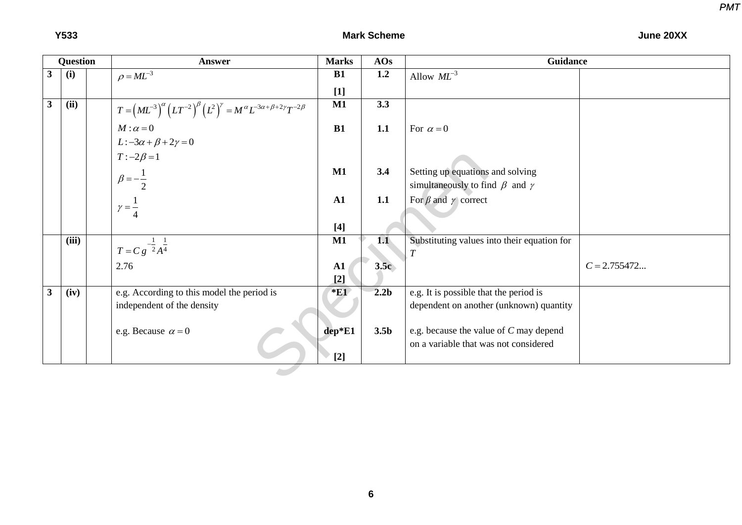### **Y533 Mark Scheme June 20XX**

|  |  | <b>June 20XX</b> |
|--|--|------------------|
|  |  |                  |

|                         | <b>Question</b> | Answer                                                                                                        | <b>Marks</b>   | AOs              | <b>Guidance</b>                             |                |
|-------------------------|-----------------|---------------------------------------------------------------------------------------------------------------|----------------|------------------|---------------------------------------------|----------------|
| $\mathbf{3}$            | (i)             | $\rho = ML^{-3}$                                                                                              | <b>B1</b>      | 1.2              | Allow $ML^{-3}$                             |                |
|                         |                 |                                                                                                               | $[1]$          |                  |                                             |                |
| $\overline{\mathbf{3}}$ | (ii)            | $T = (ML^{-3})^{\alpha} (LT^{-2})^{\beta} (L^2)^{\gamma} = M^{\alpha} L^{-3\alpha+\beta+2\gamma} T^{-2\beta}$ | $\mathbf{M1}$  | 3.3              |                                             |                |
|                         |                 | $M : \alpha = 0$                                                                                              | B1             | 1.1              | For $\alpha = 0$                            |                |
|                         |                 | $L: -3\alpha + \beta + 2\gamma = 0$                                                                           |                |                  |                                             |                |
|                         |                 | $T: -2\beta = 1$                                                                                              |                |                  |                                             |                |
|                         |                 |                                                                                                               | $\mathbf{M1}$  | 3.4              | Setting up equations and solving            |                |
|                         |                 | $\beta = -\frac{1}{2}$                                                                                        |                |                  | simultaneously to find $\beta$ and $\gamma$ |                |
|                         |                 | $\gamma = \frac{1}{4}$                                                                                        | A1             | 1.1              | For $\beta$ and $\gamma$ correct            |                |
|                         |                 |                                                                                                               |                |                  |                                             |                |
|                         |                 |                                                                                                               | $[4]$          |                  |                                             |                |
|                         | (iii)           | $T = C g^{-\frac{1}{2}} A^{\frac{1}{4}}$                                                                      | $\mathbf{M1}$  | 1.1              | Substituting values into their equation for |                |
|                         |                 |                                                                                                               |                |                  |                                             |                |
|                         |                 | 2.76                                                                                                          | ${\bf A1}$     | 3.5c             |                                             | $C = 2.755472$ |
| $\mathbf{3}$            | (iv)            | e.g. According to this model the period is                                                                    | $[2]$<br>$*E1$ | 2.2 <sub>b</sub> | e.g. It is possible that the period is      |                |
|                         |                 | independent of the density                                                                                    |                |                  | dependent on another (unknown) quantity     |                |
|                         |                 |                                                                                                               |                |                  |                                             |                |
|                         |                 | e.g. Because $\alpha = 0$                                                                                     | dep*E1         | 3.5 <sub>b</sub> | e.g. because the value of C may depend      |                |
|                         |                 |                                                                                                               |                |                  | on a variable that was not considered       |                |
|                         |                 |                                                                                                               | $[2]$          |                  |                                             |                |
|                         |                 |                                                                                                               |                |                  |                                             |                |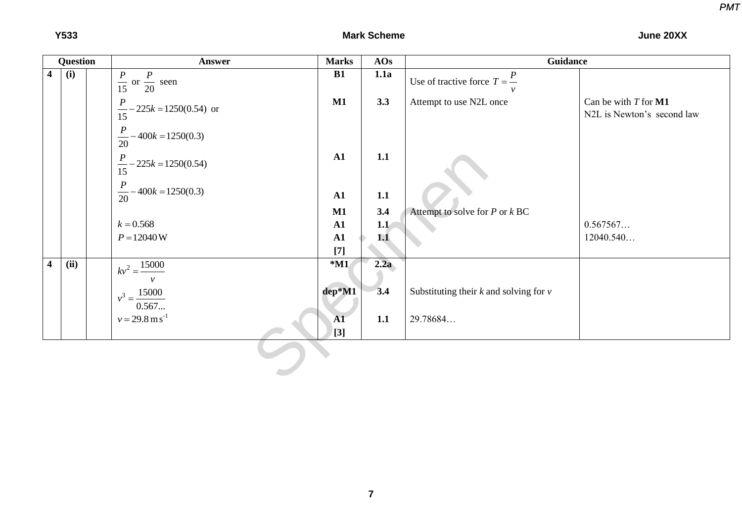### **Y533 Mark Scheme June 20XX**

|                         | Question | Answer                                                                             | <b>Marks</b>       | AOs  | <b>Guidance</b>                            |                                                        |
|-------------------------|----------|------------------------------------------------------------------------------------|--------------------|------|--------------------------------------------|--------------------------------------------------------|
| $\overline{\mathbf{4}}$ | (i)      | $\boldsymbol{P}$<br>or $\frac{P}{20}$ seen<br>15                                   | B1                 | 1.1a | Use of tractive force $T = \frac{P}{T}$    |                                                        |
|                         |          | $\boldsymbol{P}$<br>$-225k = 1250(0.54)$ or<br>$\overbrace{\phantom{13333}}$<br>15 | $\mathbf{M1}$      | 3.3  | Attempt to use N2L once                    | Can be with $T$ for $M1$<br>N2L is Newton's second law |
|                         |          | $\boldsymbol{P}$<br>$-400k = 1250(0.3)$<br>$\frac{1}{20}$                          |                    |      |                                            |                                                        |
|                         |          | $rac{P}{15}$<br>$-225k = 1250(0.54)$                                               | ${\bf A1}$         | 1.1  |                                            |                                                        |
|                         |          | $-400k = 1250(0.3)$<br>$\frac{1}{20}$                                              | ${\bf A1}$         | 1.1  |                                            |                                                        |
|                         |          |                                                                                    | $\mathbf{M1}$      | 3.4  | Attempt to solve for $P$ or $k$ BC         |                                                        |
|                         |          | $k = 0.568$                                                                        | ${\bf A1}$         | 1.1  |                                            | 0.567567                                               |
|                         |          | $P = 12040 W$                                                                      | A1<br>$[7]$        | 1.1  |                                            | 12040.540                                              |
| $\overline{\mathbf{4}}$ | (ii)     | $kv^2 = \frac{15000}{15000}$<br>$\mathcal V$                                       | $*$ M1             | 2.2a |                                            |                                                        |
|                         |          | $v^3 = \frac{15000}{15000}$<br>0.567                                               | dep*M1             | 3.4  | Substituting their $k$ and solving for $v$ |                                                        |
|                         |          | $v = 29.8 \text{ m s}^{-1}$                                                        | $\bf{A1}$<br>$[3]$ | 1.1  | 29.78684                                   |                                                        |
|                         |          |                                                                                    |                    |      |                                            |                                                        |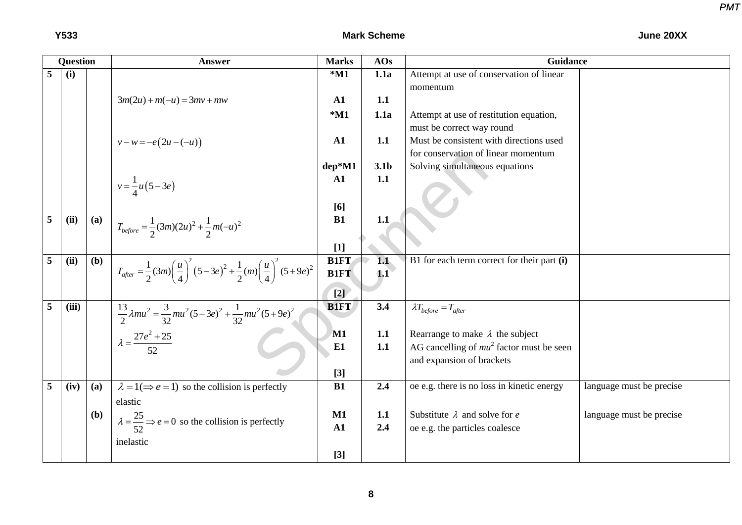|   | <b>Question</b> |     | <b>Answer</b>                                                                                                      | <b>Marks</b> | <b>AOs</b>       | Guidance                                    |                          |
|---|-----------------|-----|--------------------------------------------------------------------------------------------------------------------|--------------|------------------|---------------------------------------------|--------------------------|
| 5 | (i)             |     |                                                                                                                    | $*$ M1       | 1.1a             | Attempt at use of conservation of linear    |                          |
|   |                 |     |                                                                                                                    |              |                  | momentum                                    |                          |
|   |                 |     | $3m(2u) + m(-u) = 3mv + mw$                                                                                        | ${\bf A1}$   | 1.1              |                                             |                          |
|   |                 |     |                                                                                                                    | $*$ M1       | 1.1a             | Attempt at use of restitution equation,     |                          |
|   |                 |     |                                                                                                                    |              |                  | must be correct way round                   |                          |
|   |                 |     | $v-w = -e(2u - (-u))$                                                                                              | A1           | 1.1              | Must be consistent with directions used     |                          |
|   |                 |     |                                                                                                                    |              |                  | for conservation of linear momentum         |                          |
|   |                 |     |                                                                                                                    | dep*M1       | 3.1 <sub>b</sub> | Solving simultaneous equations              |                          |
|   |                 |     | $v = \frac{1}{4}u(5-3e)$                                                                                           | ${\bf A1}$   | 1.1              |                                             |                          |
|   |                 |     |                                                                                                                    |              |                  |                                             |                          |
|   |                 |     |                                                                                                                    | [6]          |                  |                                             |                          |
| 5 | (ii)            | (a) | $T_{before} = \frac{1}{2}(3m)(2u)^2 + \frac{1}{2}m(-u)^2$                                                          | B1           | 1.1              |                                             |                          |
|   |                 |     |                                                                                                                    |              |                  |                                             |                          |
|   |                 |     |                                                                                                                    | $[1]$        |                  |                                             |                          |
| 5 | (ii)            | (b) |                                                                                                                    | <b>B1FT</b>  | 1.1              | B1 for each term correct for their part (i) |                          |
|   |                 |     | $T_{after} = \frac{1}{2}(3m)\left(\frac{u}{4}\right)^2(5-3e)^2 + \frac{1}{2}(m)\left(\frac{u}{4}\right)^2(5+9e)^2$ | <b>B1FT</b>  | 1.1              |                                             |                          |
|   |                 |     |                                                                                                                    | $[2]$        |                  |                                             |                          |
| 5 | (iii)           |     | $\frac{13}{2}\lambda mu^2 = \frac{3}{32}mu^2(5-3e)^2 + \frac{1}{32}mu^2(5+9e)^2$                                   | <b>B1FT</b>  | 3.4              | $\lambda T_{before} = T_{after}$            |                          |
|   |                 |     |                                                                                                                    |              |                  |                                             |                          |
|   |                 |     | $\lambda = \frac{27e^2 + 25}{\lambda}$                                                                             | M1           | 1.1              | Rearrange to make $\lambda$ the subject     |                          |
|   |                 |     |                                                                                                                    | E1           | 1.1              | AG cancelling of $mu^2$ factor must be seen |                          |
|   |                 |     |                                                                                                                    |              |                  | and expansion of brackets                   |                          |
|   |                 |     |                                                                                                                    | $[3]$        |                  |                                             |                          |
| 5 | (iv)            | (a) | $\lambda = 1 (\Rightarrow e = 1)$ so the collision is perfectly                                                    | B1           | 2.4              | oe e.g. there is no loss in kinetic energy  | language must be precise |
|   |                 |     | elastic                                                                                                            |              |                  |                                             |                          |
|   |                 | (b) | $\lambda = \frac{25}{52} \Rightarrow e = 0$ so the collision is perfectly                                          | M1           | 1.1              | Substitute $\lambda$ and solve for e        | language must be precise |
|   |                 |     |                                                                                                                    | A1           | 2.4              | oe e.g. the particles coalesce              |                          |
|   |                 |     | inelastic                                                                                                          |              |                  |                                             |                          |
|   |                 |     |                                                                                                                    | $[3]$        |                  |                                             |                          |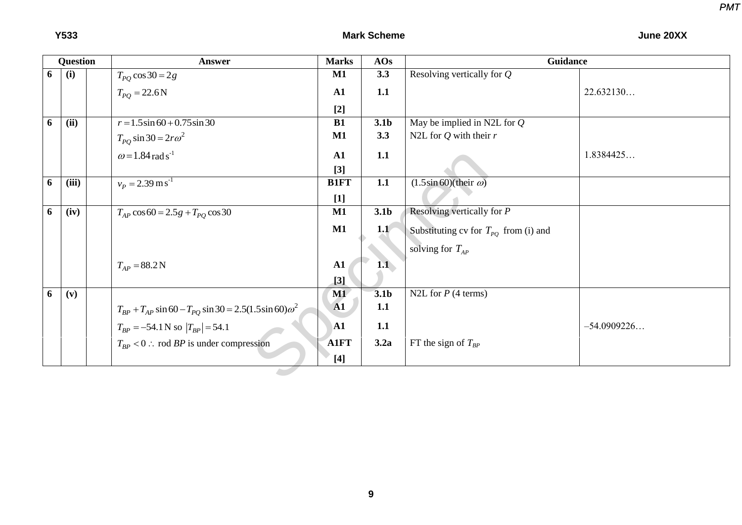### **Y533 Mark Scheme June 20XX**

| <b>June 20XX</b> |  |
|------------------|--|
|------------------|--|

|   | Question | Answer                                                                | <b>Marks</b>  | AOs              | Guidance                                   |               |
|---|----------|-----------------------------------------------------------------------|---------------|------------------|--------------------------------------------|---------------|
| 6 | (i)      | $T_{PQ} \cos 30 = 2g$                                                 | M1            | 3.3              | Resolving vertically for $Q$               |               |
|   |          | $T_{PO} = 22.6 N$                                                     | ${\bf A1}$    | 1.1              |                                            | 22.632130     |
|   |          |                                                                       | $[2]$         |                  |                                            |               |
| 6 | (ii)     | $r = 1.5\sin 60 + 0.75\sin 30$                                        | B1            | 3.1 <sub>b</sub> | May be implied in N2L for $Q$              |               |
|   |          | $T_{PO}$ sin 30 = $2r\omega^2$                                        | $\mathbf{M1}$ | 3.3              | N2L for $Q$ with their $r$                 |               |
|   |          | $\omega$ = 1.84 rad s <sup>-1</sup>                                   | ${\bf A1}$    | 1.1              |                                            | 1.8384425     |
|   |          |                                                                       | $[3]$         |                  |                                            |               |
| 6 | (iii)    | $v_p = 2.39 \text{ m s}^{-1}$                                         | <b>B1FT</b>   | 1.1              | $(1.5\sin 60)$ (their $\omega$ )           |               |
|   |          |                                                                       | $[1]$         |                  |                                            |               |
| 6 | (iv)     | $T_{AP}$ cos 60 = 2.5 g + $T_{PO}$ cos 30                             | $\mathbf{M1}$ | 3.1 <sub>b</sub> | Resolving vertically for $P$               |               |
|   |          |                                                                       | $\mathbf{M1}$ | 1,1              | Substituting cv for $T_{p_0}$ from (i) and |               |
|   |          |                                                                       |               |                  | solving for $T_{AP}$                       |               |
|   |          | $T_{AP} = 88.2 N$                                                     | ${\bf A1}$    | 1.1              |                                            |               |
|   |          |                                                                       | $[3]$         |                  |                                            |               |
| 6 | (v)      |                                                                       | $\mathbf{M1}$ | 3.1 <sub>b</sub> | N2L for $P$ (4 terms)                      |               |
|   |          | $T_{BP} + T_{AP} \sin 60 - T_{PQ} \sin 30 = 2.5(1.5 \sin 60)\omega^2$ | ${\bf A1}$    | 1.1              |                                            |               |
|   |          | $T_{BP} = -54.1 \text{ N so }  T_{BP}  = 54.1$                        | ${\bf A1}$    | 1.1              |                                            | $-54.0909226$ |
|   |          | $T_{RP}$ < 0 : rod BP is under compression                            | <b>A1FT</b>   | 3.2a             | FT the sign of $T_{BP}$                    |               |
|   |          |                                                                       | $[4]$         |                  |                                            |               |
|   |          |                                                                       |               |                  |                                            |               |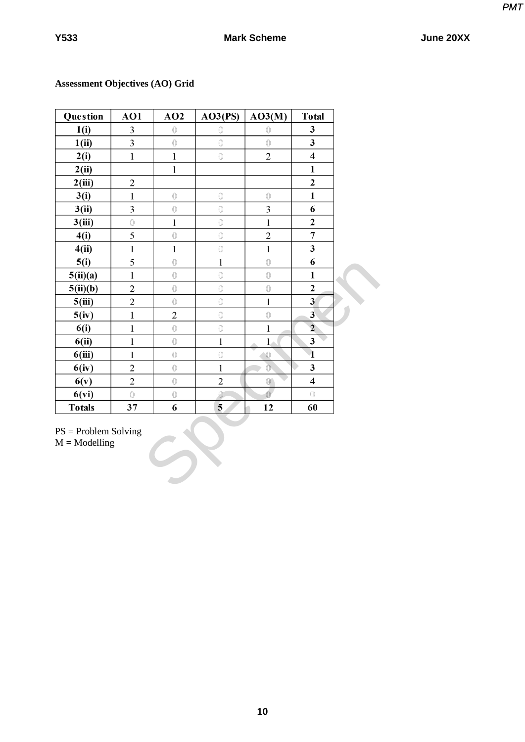### **Assessment Objectives (AO) Grid**

| Question      | AO1                     | AO2            | AO3(PS)                 | AO3(M)         | <b>Total</b>            |
|---------------|-------------------------|----------------|-------------------------|----------------|-------------------------|
| 1(i)          | $\overline{3}$          | $\circledcirc$ | $\circledcirc$          | $\circledcirc$ | $\mathbf{3}$            |
| 1(ii)         | 3                       | $\circledcirc$ | $\circledcirc$          | $\circledcirc$ | $\overline{\mathbf{3}}$ |
| 2(i)          | $\mathbf{1}$            | $\mathbf 1$    | $\mathbb O$             | $\overline{c}$ | $\overline{\mathbf{4}}$ |
| 2(ii)         |                         | $\mathbf{1}$   |                         |                | $\mathbf{1}$            |
| 2(iii)        | $\overline{c}$          |                |                         |                | $\overline{2}$          |
| 3(i)          | $\mathbf{1}$            | $\circledcirc$ | $\circledcirc$          | $\circledcirc$ | $\mathbf{1}$            |
| 3(ii)         | $\overline{\mathbf{3}}$ | $\mathbb O$    | $\circledcirc$          | 3              | 6                       |
| 3(iii)        | $\circledcirc$          | $\mathbf{l}$   | $\circledcirc$          | $\mathbf{1}$   | $\overline{2}$          |
| 4(i)          | 5                       | $\circledcirc$ | $\circledS$             | $\overline{2}$ | $\overline{7}$          |
| 4(ii)         | $\mathbf{1}$            | $\mathbf{1}$   | $\circledcirc$          | $\mathbf{1}$   | 3                       |
| 5(i)          | 5                       | $\circledcirc$ | $\mathbf{1}$            | $\circledcirc$ | 6                       |
| 5(ii)(a)      | $\mathbf{1}$            | $\circledS$    | $\circledcirc$          | $\circledcirc$ | $\mathbf{1}$            |
| 5(ii)(b)      | $\overline{c}$          | $\circledcirc$ | $\circledcirc$          | $\circledcirc$ | $\mathbf{2}$            |
| 5(iii)        | $\overline{c}$          | $\mathbb O$    | $\circledS$             | $\mathbf{1}$   | $\mathbf{3}$            |
| 5(iv)         | $\mathbf{1}$            | $\overline{2}$ | $\circledcirc$          | $\overline{0}$ | $\overline{\mathbf{3}}$ |
| 6(i)          | $\mathbf{1}$            | $\circledcirc$ | $\circledS$             | $\mathbf{1}$   | $\overline{2}$          |
| 6(ii)         | $\mathbf{1}$            | $\circledcirc$ | $\mathbf{1}$            | $\mathbf{1}$   | $\mathbf{3}$            |
| 6(iii)        | $\mathbf{1}$            | $\circledcirc$ | $\circledcirc$          | 0              | $\mathbf{1}$            |
| 6(iv)         | $\overline{c}$          | $\circledS$    | $\mathbf{1}$            | $\overline{O}$ | 3                       |
| 6(v)          | $\overline{c}$          | $\mathbb O$    | $\overline{c}$          | $\circledcirc$ | $\overline{\mathbf{4}}$ |
| 6(vi)         | $\circledcirc$          | $\circledS$    | $\circledcirc$          | $\circ$        | $\circledR$             |
| <b>Totals</b> | 37                      | 6              | $\overline{\mathbf{5}}$ | 12             | 60                      |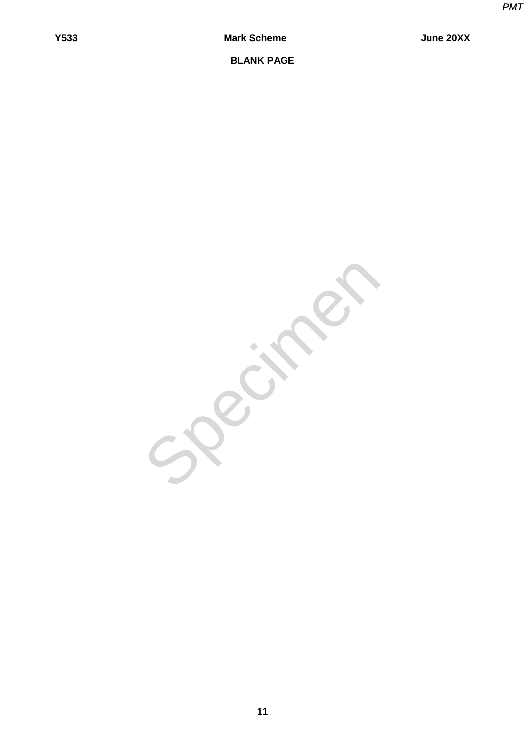**BLANK PAGE** 

Specimen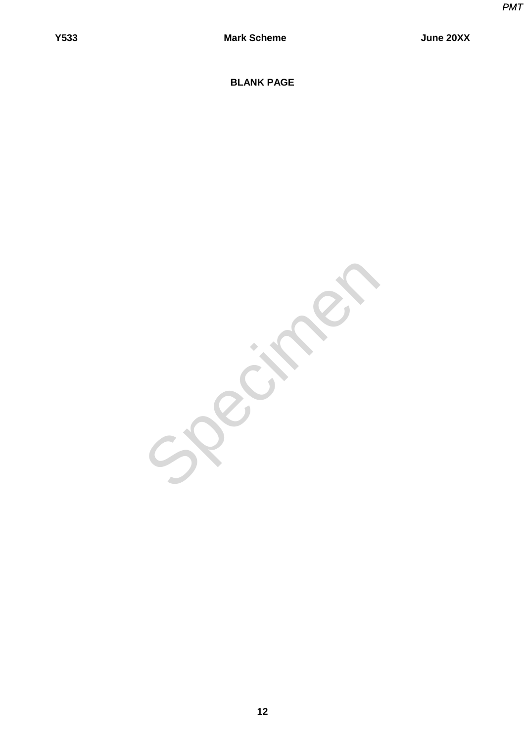**BLANK PAGE** 

Specimen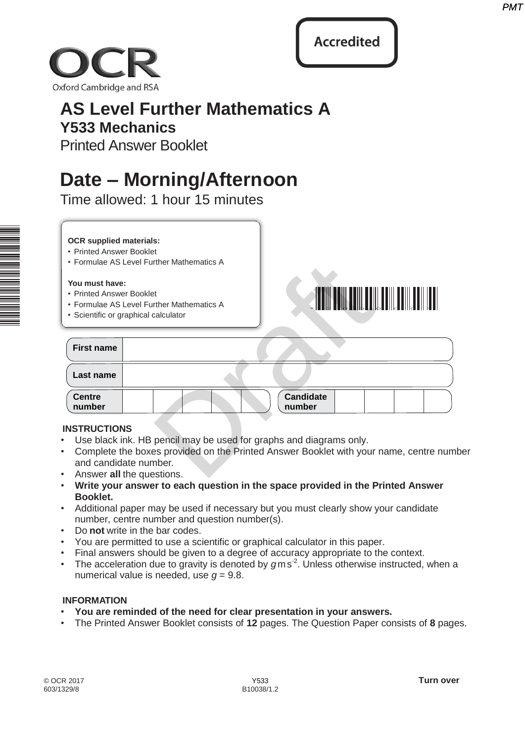



## **AS Level Further Mathematics A Y533 Mechanics**

Printed Answer Booklet

# **Date – Morning/Afternoon**

Time allowed: 1 hour 15 minutes

### **OCR supplied materials:**

- Printed Answer Booklet
- Formulae AS Level Further Mathematics A

### **You must have:**

- Printed Answer Booklet
- Formulae AS Level Further Mathematics A
- 



| You must have:<br>• Printed Answer Booklet | • Formulae AS Level Further Mathematics A<br>• Formulae AS Level Further Mathematics A<br>• Scientific or graphical calculator | <u>ili Adili Tolii oolii oolii oolii ooli iool</u>                                   |
|--------------------------------------------|--------------------------------------------------------------------------------------------------------------------------------|--------------------------------------------------------------------------------------|
|                                            |                                                                                                                                |                                                                                      |
| <b>First name</b>                          |                                                                                                                                |                                                                                      |
| Last name                                  |                                                                                                                                |                                                                                      |
| <b>Centre</b><br>number                    |                                                                                                                                | <b>Candidate</b><br>number                                                           |
| <b>INSTRUCTIONS</b>                        |                                                                                                                                |                                                                                      |
|                                            | Use black ink. HB pencil may be used for graphs and diagrams only.                                                             |                                                                                      |
|                                            |                                                                                                                                | Complete the boxes provided on the Printed Answer Booklet with your name, centre num |
| and candidate number.                      |                                                                                                                                |                                                                                      |
|                                            | Answer all the questions.                                                                                                      |                                                                                      |

### **INSTRUCTIONS**

- Use black ink. HB pencil may be used for graphs and diagrams only.
- Complete the boxes provided on the Printed Answer Booklet with your name, centre number and candidate number.
- Answer **all** the questions.
- **Write your answer to each question in the space provided in the Printed Answer Booklet.**
- Additional paper may be used if necessary but you must clearly show your candidate number, centre number and question number(s).
- Do **not** write in the bar codes.
- You are permitted to use a scientific or graphical calculator in this paper.
- Final answers should be given to a degree of accuracy appropriate to the context.
- The acceleration due to gravity is denoted by gms<sup>2</sup>. Unless otherwise instructed, when a numerical value is needed, use  $q = 9.8$ .

### **INFORMATION**

- **You are reminded of the need for clear presentation in your answers.**
- The Printed Answer Booklet consists of **12** pages. The Question Paper consists of **8** pages.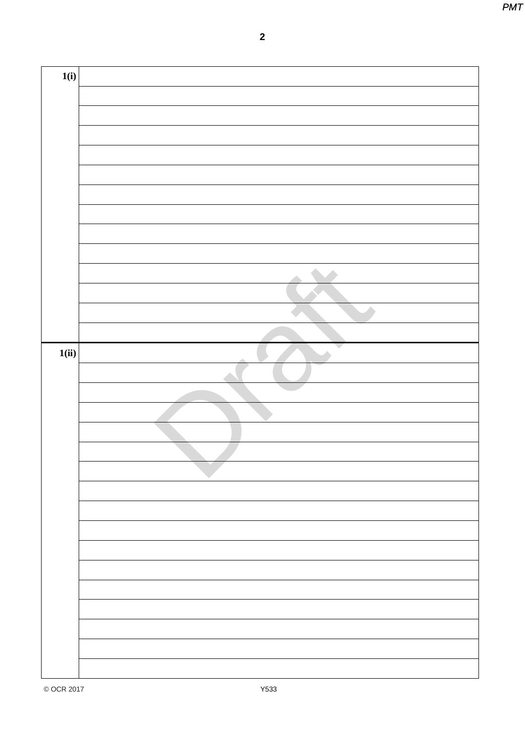**2** 

| 1(i)  |  |
|-------|--|
|       |  |
|       |  |
|       |  |
|       |  |
|       |  |
|       |  |
|       |  |
|       |  |
|       |  |
|       |  |
|       |  |
|       |  |
|       |  |
|       |  |
|       |  |
|       |  |
| 1(ii) |  |
|       |  |
|       |  |
|       |  |
|       |  |
|       |  |
|       |  |
|       |  |
|       |  |
|       |  |
|       |  |
|       |  |
|       |  |
|       |  |
|       |  |
|       |  |
|       |  |
|       |  |
|       |  |
|       |  |
|       |  |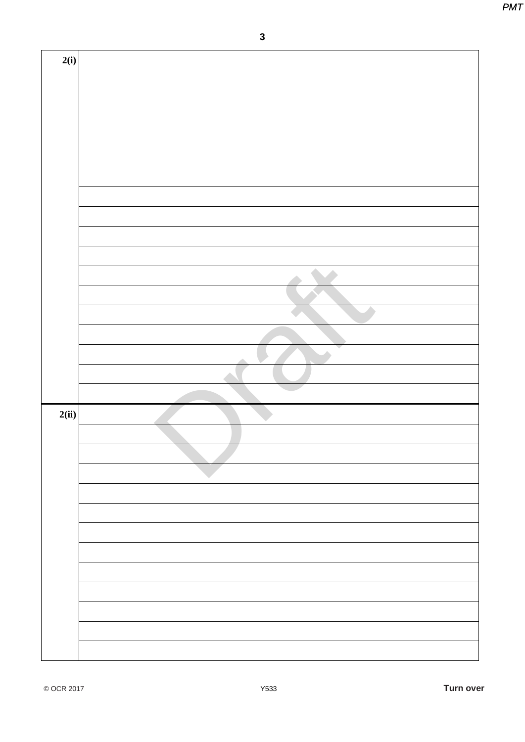

| 2(i)  |  |
|-------|--|
|       |  |
|       |  |
|       |  |
|       |  |
|       |  |
|       |  |
|       |  |
|       |  |
|       |  |
|       |  |
|       |  |
|       |  |
|       |  |
|       |  |
|       |  |
|       |  |
|       |  |
|       |  |
|       |  |
| 2(ii) |  |
|       |  |
|       |  |
|       |  |
|       |  |
|       |  |
|       |  |
|       |  |
|       |  |
|       |  |
|       |  |
|       |  |
|       |  |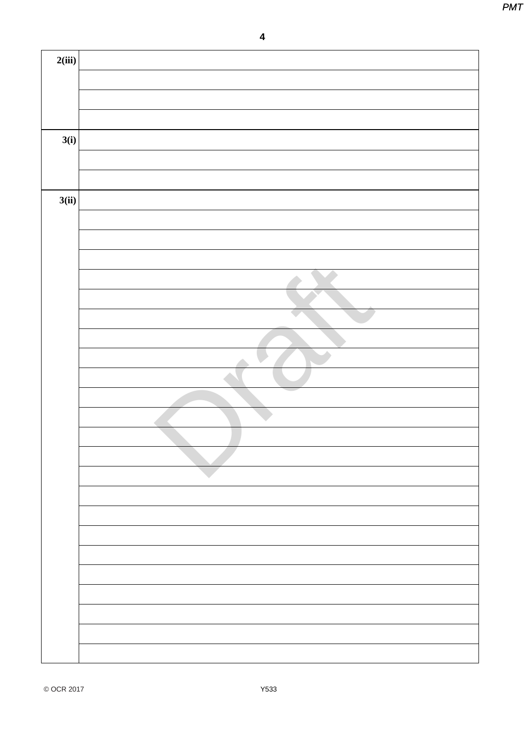| 2(iii) |  |
|--------|--|
|        |  |
|        |  |
|        |  |
|        |  |
| 3(i)   |  |
|        |  |
|        |  |
|        |  |
|        |  |
| 3(ii)  |  |
|        |  |
|        |  |
|        |  |
|        |  |
|        |  |
|        |  |
|        |  |
|        |  |
|        |  |
|        |  |
|        |  |
|        |  |
|        |  |
|        |  |
|        |  |
|        |  |
|        |  |
|        |  |
|        |  |
|        |  |
|        |  |
|        |  |
|        |  |
|        |  |
|        |  |
|        |  |
|        |  |
|        |  |
|        |  |
|        |  |
|        |  |
|        |  |
|        |  |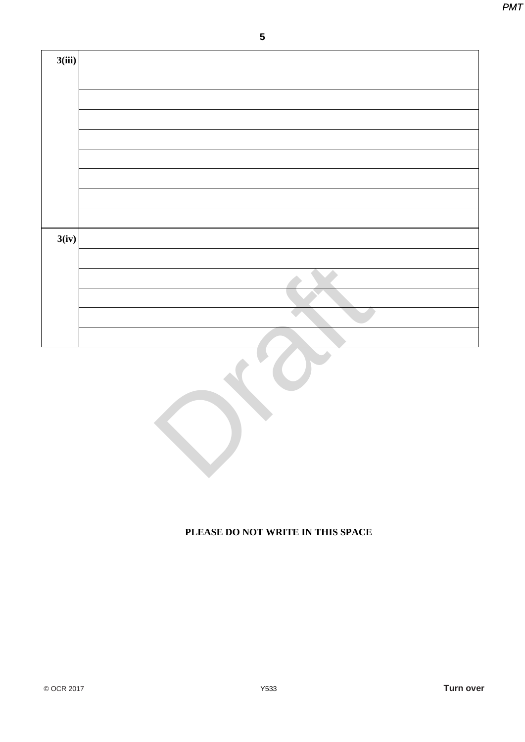| 3(iii) |  |
|--------|--|
|        |  |
|        |  |
|        |  |
|        |  |
|        |  |
|        |  |
|        |  |
|        |  |
|        |  |
| 3(iv)  |  |
|        |  |
|        |  |
|        |  |
|        |  |
|        |  |
|        |  |
|        |  |
|        |  |
|        |  |
|        |  |
|        |  |
|        |  |
|        |  |

### **PLEASE DO NOT WRITE IN THIS SPACE**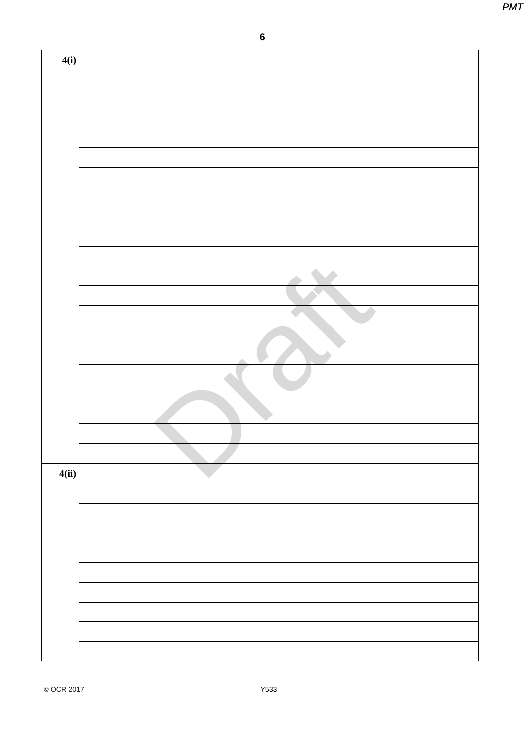| 4(i)  |  |
|-------|--|
|       |  |
|       |  |
|       |  |
|       |  |
|       |  |
|       |  |
|       |  |
|       |  |
|       |  |
|       |  |
|       |  |
|       |  |
|       |  |
|       |  |
|       |  |
|       |  |
|       |  |
|       |  |
|       |  |
|       |  |
|       |  |
|       |  |
|       |  |
|       |  |
|       |  |
|       |  |
| 4(ii) |  |
|       |  |
|       |  |
|       |  |
|       |  |
|       |  |
|       |  |
|       |  |
|       |  |
|       |  |
|       |  |
|       |  |
|       |  |
|       |  |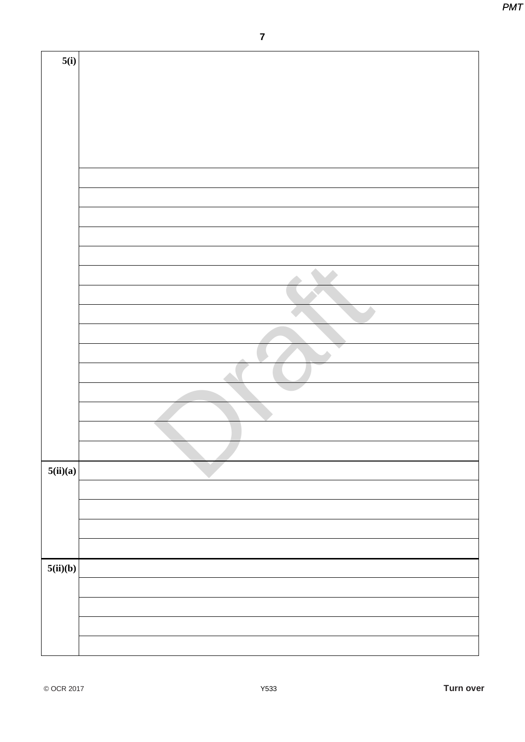| 5(i)     |  |
|----------|--|
|          |  |
|          |  |
|          |  |
|          |  |
|          |  |
|          |  |
|          |  |
|          |  |
|          |  |
|          |  |
|          |  |
|          |  |
|          |  |
|          |  |
|          |  |
|          |  |
|          |  |
|          |  |
|          |  |
|          |  |
|          |  |
|          |  |
| 5(ii)(a) |  |
|          |  |
|          |  |
|          |  |
|          |  |
| 5(ii)(b) |  |
|          |  |
|          |  |
|          |  |
|          |  |
|          |  |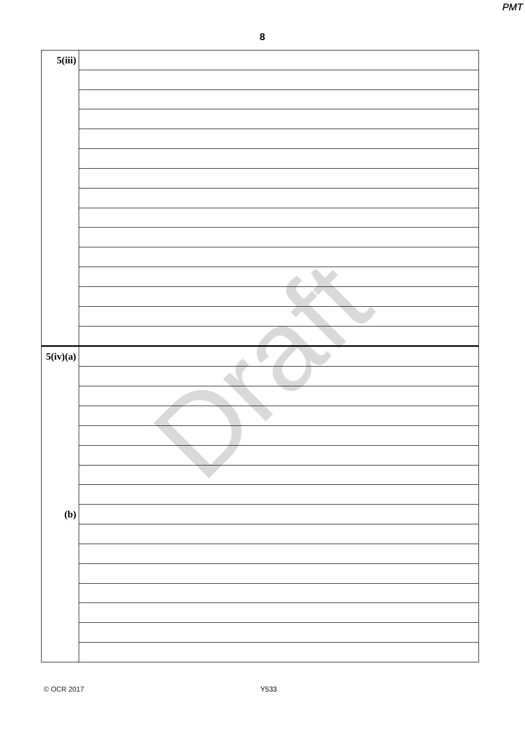| 5(iii)   |  |
|----------|--|
|          |  |
|          |  |
|          |  |
|          |  |
|          |  |
|          |  |
|          |  |
|          |  |
|          |  |
|          |  |
|          |  |
|          |  |
|          |  |
|          |  |
| 5(iv)(a) |  |
|          |  |
|          |  |
|          |  |
|          |  |
|          |  |
|          |  |
|          |  |
| (b)      |  |
|          |  |
|          |  |
|          |  |
|          |  |
|          |  |
|          |  |
|          |  |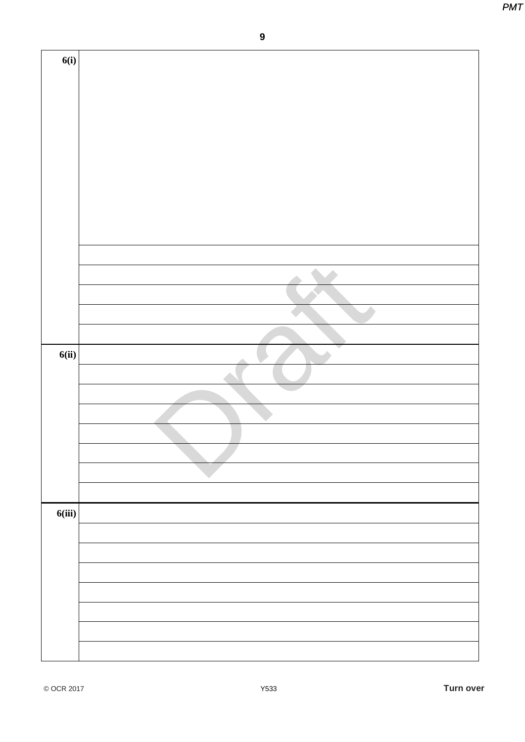| 6(i)   |        |
|--------|--------|
|        |        |
|        |        |
|        |        |
|        |        |
|        |        |
|        |        |
|        |        |
|        |        |
|        |        |
|        |        |
|        |        |
|        |        |
|        |        |
| 6(ii)  | $\sim$ |
|        |        |
|        |        |
|        |        |
|        |        |
|        |        |
|        |        |
| 6(iii) |        |
|        |        |
|        |        |
|        |        |
|        |        |
|        |        |
|        |        |
|        |        |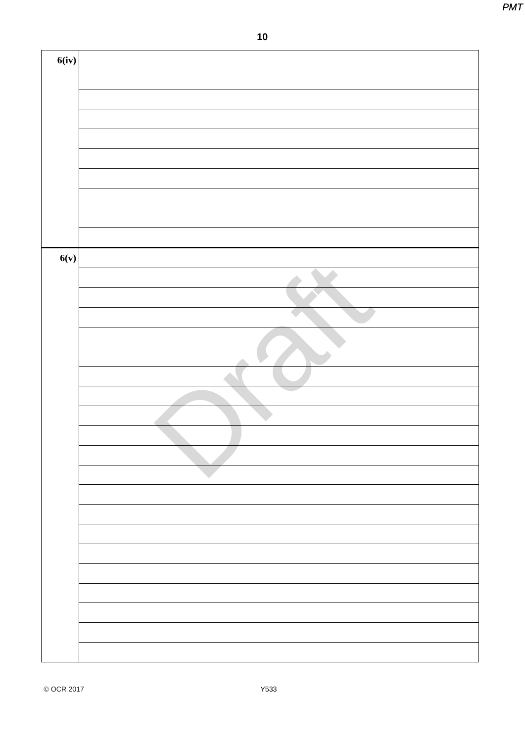| 6(iv) |  |
|-------|--|
|       |  |
|       |  |
|       |  |
|       |  |
|       |  |
|       |  |
| 6(v)  |  |
|       |  |
|       |  |
|       |  |
|       |  |
|       |  |
|       |  |
|       |  |
|       |  |
|       |  |
|       |  |
|       |  |
|       |  |
|       |  |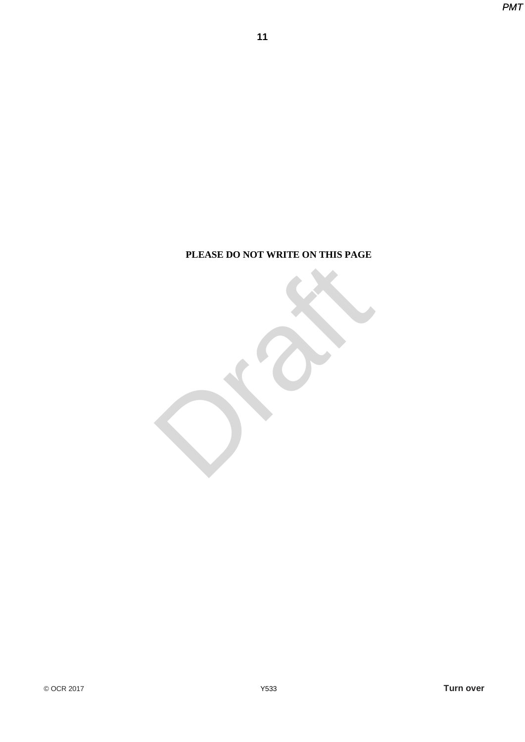# PLEASE DO NOT WRITE ON THIS PAGE

**11**

© OCR 2017 Y533 **Turn over**